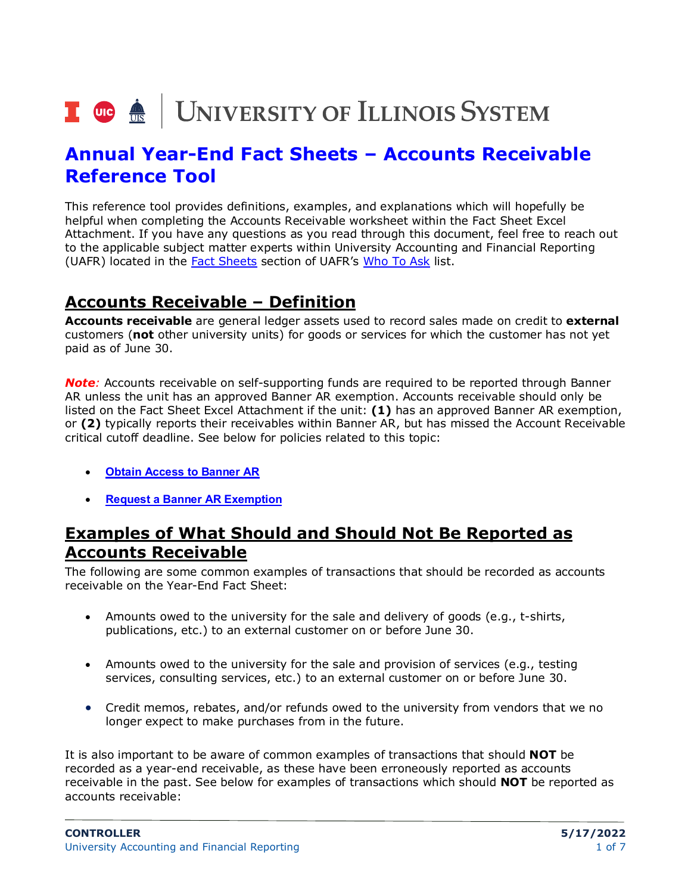# I **@ A** UNIVERSITY OF ILLINOIS SYSTEM

# **Annual Year-End Fact Sheets – Accounts Receivable Reference Tool**

This reference tool provides definitions, examples, and explanations which will hopefully be helpful when completing the Accounts Receivable worksheet within the Fact Sheet Excel Attachment. If you have any questions as you read through this document, feel free to reach out to the applicable subject matter experts within University Accounting and Financial Reporting (UAFR) located in the [Fact Sheets](https://www.obfs.uillinois.edu/accounting-financial-reporting/who-to-ask/types-questions#fact-sheets) section of UAFR's [Who To Ask](https://www.obfs.uillinois.edu/accounting-financial-reporting/who-to-ask/types-questions) list.

#### **Accounts Receivable – Definition**

**Accounts receivable** are general ledger assets used to record sales made on credit to **external** customers (**not** other university units) for goods or services for which the customer has not yet paid as of June 30.

*Note:* Accounts receivable on self-supporting funds are required to be reported through Banner AR unless the unit has an approved Banner AR exemption. Accounts receivable should only be listed on the Fact Sheet Excel Attachment if the unit: **(1)** has an approved Banner AR exemption, or **(2)** typically reports their receivables within Banner AR, but has missed the Account Receivable critical cutoff deadline. See below for policies related to this topic:

- **[Obtain Access to Banner AR](https://www.obfs.uillinois.edu/bfpp/section-5-receivables/obtain-access-banner-accounts-receivable-banner-ar)**
- **[Request a Banner AR Exemption](https://www.obfs.uillinois.edu/bfpp/section-5-receivables/request-an-exemption-from-using-banner-ar)**

## **Examples of What Should and Should Not Be Reported as Accounts Receivable**

The following are some common examples of transactions that should be recorded as accounts receivable on the Year-End Fact Sheet:

- Amounts owed to the university for the sale and delivery of goods (e.g., t-shirts, publications, etc.) to an external customer on or before June 30.
- Amounts owed to the university for the sale and provision of services (e.g., testing services, consulting services, etc.) to an external customer on or before June 30.
- Credit memos, rebates, and/or refunds owed to the university from vendors that we no longer expect to make purchases from in the future.

It is also important to be aware of common examples of transactions that should **NOT** be recorded as a year-end receivable, as these have been erroneously reported as accounts receivable in the past. See below for examples of transactions which should **NOT** be reported as accounts receivable: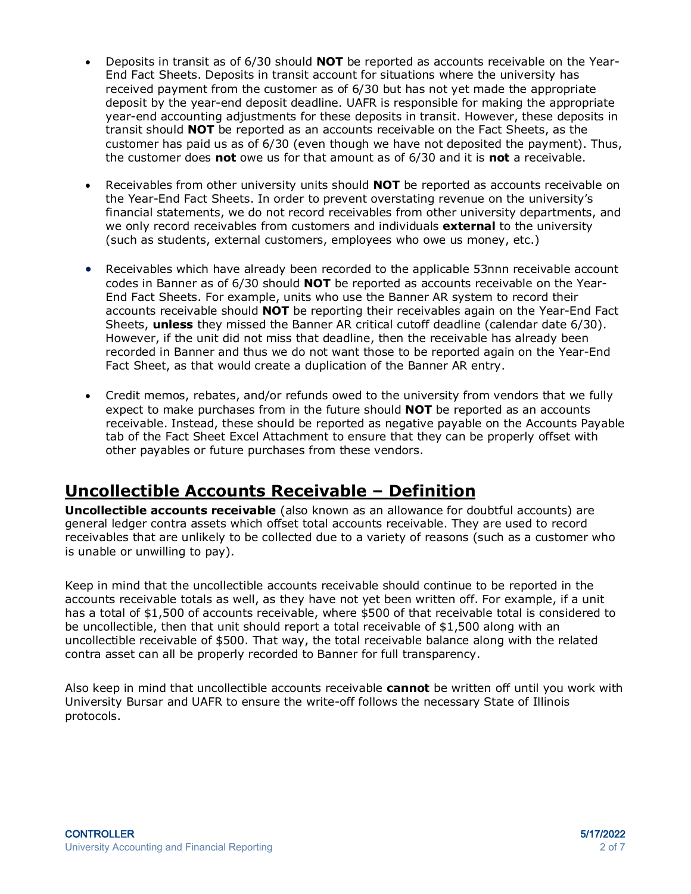- Deposits in transit as of 6/30 should **NOT** be reported as accounts receivable on the Year-End Fact Sheets. Deposits in transit account for situations where the university has received payment from the customer as of 6/30 but has not yet made the appropriate deposit by the year-end deposit deadline. UAFR is responsible for making the appropriate year-end accounting adjustments for these deposits in transit. However, these deposits in transit should **NOT** be reported as an accounts receivable on the Fact Sheets, as the customer has paid us as of 6/30 (even though we have not deposited the payment). Thus, the customer does **not** owe us for that amount as of 6/30 and it is **not** a receivable.
- Receivables from other university units should **NOT** be reported as accounts receivable on the Year-End Fact Sheets. In order to prevent overstating revenue on the university's financial statements, we do not record receivables from other university departments, and we only record receivables from customers and individuals **external** to the university (such as students, external customers, employees who owe us money, etc.)
- Receivables which have already been recorded to the applicable 53nnn receivable account codes in Banner as of 6/30 should **NOT** be reported as accounts receivable on the Year-End Fact Sheets. For example, units who use the Banner AR system to record their accounts receivable should **NOT** be reporting their receivables again on the Year-End Fact Sheets, **unless** they missed the Banner AR critical cutoff deadline (calendar date 6/30). However, if the unit did not miss that deadline, then the receivable has already been recorded in Banner and thus we do not want those to be reported again on the Year-End Fact Sheet, as that would create a duplication of the Banner AR entry.
- Credit memos, rebates, and/or refunds owed to the university from vendors that we fully expect to make purchases from in the future should **NOT** be reported as an accounts receivable. Instead, these should be reported as negative payable on the Accounts Payable tab of the Fact Sheet Excel Attachment to ensure that they can be properly offset with other payables or future purchases from these vendors.

## **Uncollectible Accounts Receivable – Definition**

**Uncollectible accounts receivable** (also known as an allowance for doubtful accounts) are general ledger contra assets which offset total accounts receivable. They are used to record receivables that are unlikely to be collected due to a variety of reasons (such as a customer who is unable or unwilling to pay).

Keep in mind that the uncollectible accounts receivable should continue to be reported in the accounts receivable totals as well, as they have not yet been written off. For example, if a unit has a total of \$1,500 of accounts receivable, where \$500 of that receivable total is considered to be uncollectible, then that unit should report a total receivable of \$1,500 along with an uncollectible receivable of \$500. That way, the total receivable balance along with the related contra asset can all be properly recorded to Banner for full transparency.

Also keep in mind that uncollectible accounts receivable **cannot** be written off until you work with University Bursar and UAFR to ensure the write-off follows the necessary State of Illinois protocols.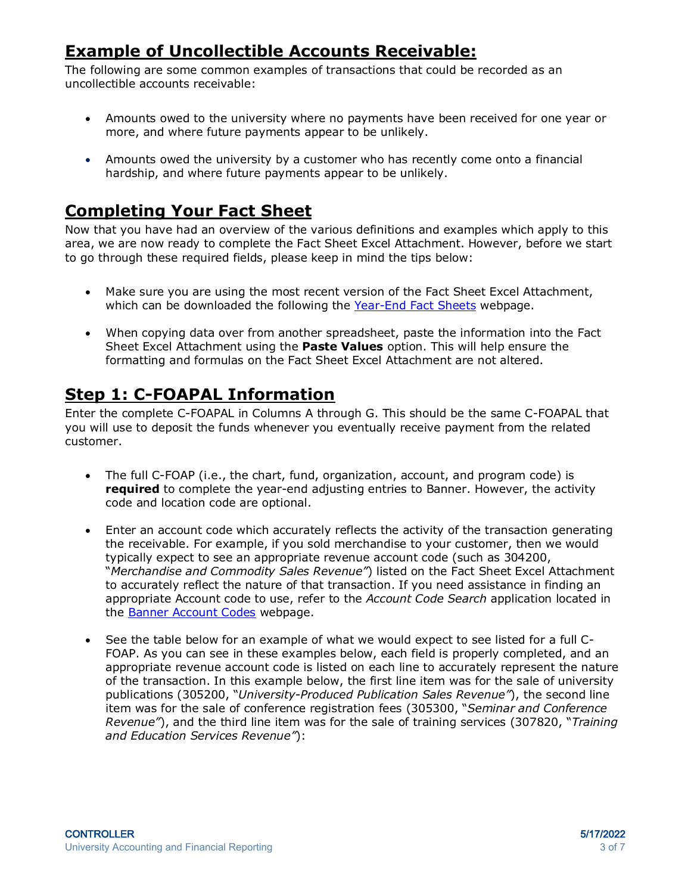# **Example of Uncollectible Accounts Receivable:**

The following are some common examples of transactions that could be recorded as an uncollectible accounts receivable:

- Amounts owed to the university where no payments have been received for one year or more, and where future payments appear to be unlikely.
- Amounts owed the university by a customer who has recently come onto a financial hardship, and where future payments appear to be unlikely.

#### **Completing Your Fact Sheet**

Now that you have had an overview of the various definitions and examples which apply to this area, we are now ready to complete the Fact Sheet Excel Attachment. However, before we start to go through these required fields, please keep in mind the tips below:

- Make sure you are using the most recent version of the Fact Sheet Excel Attachment, which can be downloaded the following the [Year-End Fact Sheets](https://www.obfs.uillinois.edu/accounting-financial-reporting/year-end-procedures/fact-sheets/) webpage.
- When copying data over from another spreadsheet, paste the information into the Fact Sheet Excel Attachment using the **Paste Values** option. This will help ensure the formatting and formulas on the Fact Sheet Excel Attachment are not altered.

#### **Step 1: C-FOAPAL Information**

Enter the complete C-FOAPAL in Columns A through G. This should be the same C-FOAPAL that you will use to deposit the funds whenever you eventually receive payment from the related customer.

- The full C-FOAP (i.e., the chart, fund, organization, account, and program code) is **required** to complete the year-end adjusting entries to Banner. However, the activity code and location code are optional.
- Enter an account code which accurately reflects the activity of the transaction generating the receivable. For example, if you sold merchandise to your customer, then we would typically expect to see an appropriate revenue account code (such as 304200, "*Merchandise and Commodity Sales Revenue"*) listed on the Fact Sheet Excel Attachment to accurately reflect the nature of that transaction. If you need assistance in finding an appropriate Account code to use, refer to the *Account Code Search* application located in the [Banner Account Codes](https://www.obfs.uillinois.edu/accounting-financial-reporting/banner-account-codes/) webpage.
- See the table below for an example of what we would expect to see listed for a full C-FOAP. As you can see in these examples below, each field is properly completed, and an appropriate revenue account code is listed on each line to accurately represent the nature of the transaction. In this example below, the first line item was for the sale of university publications (305200, "*University-Produced Publication Sales Revenue"*), the second line item was for the sale of conference registration fees (305300, "*Seminar and Conference Revenue"*), and the third line item was for the sale of training services (307820, "*Training and Education Services Revenue"*):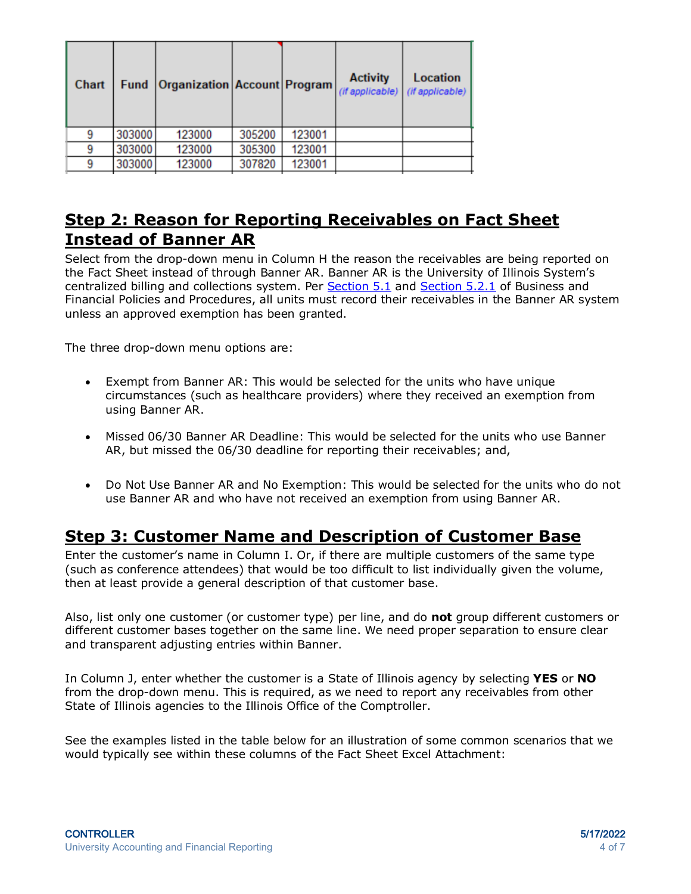| Chart |        | Fund Organization Account Program (if applicable) (if applicable) |        |        | <b>Activity</b> | <b>Location</b> |
|-------|--------|-------------------------------------------------------------------|--------|--------|-----------------|-----------------|
| 9     | 303000 | 123000                                                            | 305200 | 123001 |                 |                 |
| 9     | 303000 | 123000                                                            | 305300 | 123001 |                 |                 |
| q     | 303000 | 123000                                                            | 307820 | 123001 |                 |                 |

#### **Step 2: Reason for Reporting Receivables on Fact Sheet Instead of Banner AR**

Select from the drop-down menu in Column H the reason the receivables are being reported on the Fact Sheet instead of through Banner AR. Banner AR is the University of Illinois System's centralized billing and collections system. Per [Section 5.1](https://www.obfs.uillinois.edu/bfpp/section-5-receivables/policy-for-managing-receivables) and [Section 5.2.1](https://www.obfs.uillinois.edu/bfpp/section-5-receivables/obtain-access-banner-accounts-receivable-banner-ar) of Business and Financial Policies and Procedures, all units must record their receivables in the Banner AR system unless an approved exemption has been granted.

The three drop-down menu options are:

- Exempt from Banner AR: This would be selected for the units who have unique circumstances (such as healthcare providers) where they received an exemption from using Banner AR.
- Missed 06/30 Banner AR Deadline: This would be selected for the units who use Banner AR, but missed the 06/30 deadline for reporting their receivables; and,
- Do Not Use Banner AR and No Exemption: This would be selected for the units who do not use Banner AR and who have not received an exemption from using Banner AR.

#### **Step 3: Customer Name and Description of Customer Base**

Enter the customer's name in Column I. Or, if there are multiple customers of the same type (such as conference attendees) that would be too difficult to list individually given the volume, then at least provide a general description of that customer base.

Also, list only one customer (or customer type) per line, and do **not** group different customers or different customer bases together on the same line. We need proper separation to ensure clear and transparent adjusting entries within Banner.

In Column J, enter whether the customer is a State of Illinois agency by selecting **YES** or **NO** from the drop-down menu. This is required, as we need to report any receivables from other State of Illinois agencies to the Illinois Office of the Comptroller.

See the examples listed in the table below for an illustration of some common scenarios that we would typically see within these columns of the Fact Sheet Excel Attachment: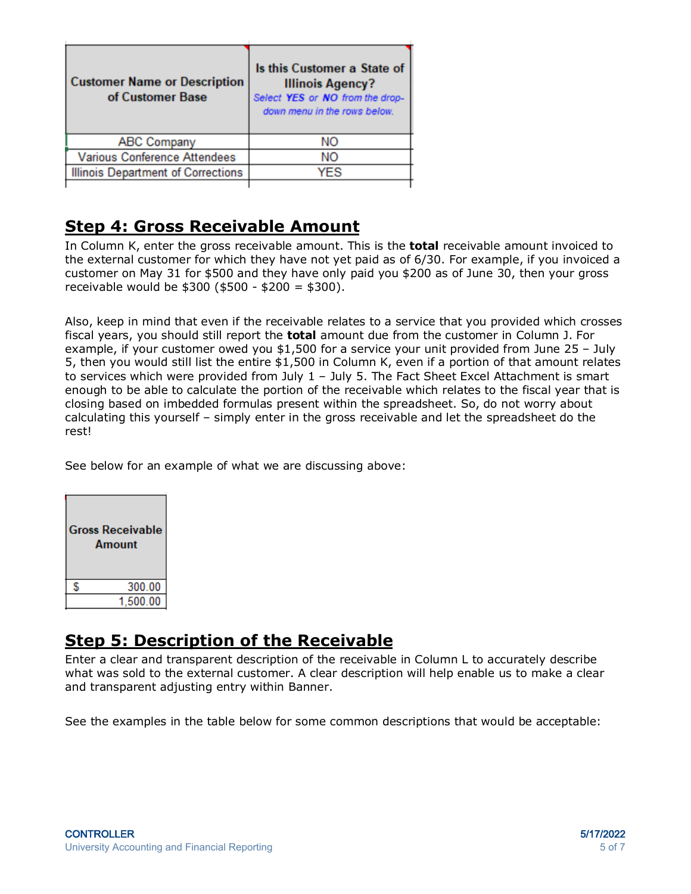| <b>Customer Name or Description</b><br>of Customer Base | Is this Customer a State of<br><b>Illinois Agency?</b><br>Select YES or NO from the drop-<br>down menu in the rows below. |
|---------------------------------------------------------|---------------------------------------------------------------------------------------------------------------------------|
| <b>ABC Company</b>                                      | NO.                                                                                                                       |
| <b>Various Conference Attendees</b>                     | NΟ                                                                                                                        |
| <b>Illinois Department of Corrections</b>               | YFS                                                                                                                       |
|                                                         |                                                                                                                           |

## **Step 4: Gross Receivable Amount**

In Column K, enter the gross receivable amount. This is the **total** receivable amount invoiced to the external customer for which they have not yet paid as of 6/30. For example, if you invoiced a customer on May 31 for \$500 and they have only paid you \$200 as of June 30, then your gross receivable would be \$300 (\$500 - \$200 = \$300).

Also, keep in mind that even if the receivable relates to a service that you provided which crosses fiscal years, you should still report the **total** amount due from the customer in Column J. For example, if your customer owed you \$1,500 for a service your unit provided from June 25 – July 5, then you would still list the entire \$1,500 in Column K, even if a portion of that amount relates to services which were provided from July 1 – July 5. The Fact Sheet Excel Attachment is smart enough to be able to calculate the portion of the receivable which relates to the fiscal year that is closing based on imbedded formulas present within the spreadsheet. So, do not worry about calculating this yourself – simply enter in the gross receivable and let the spreadsheet do the rest!

See below for an example of what we are discussing above:

| <b>Gross Receivable</b><br><b>Amount</b> |          |
|------------------------------------------|----------|
|                                          | 300.00   |
|                                          | 1,500.00 |

#### **Step 5: Description of the Receivable**

Enter a clear and transparent description of the receivable in Column L to accurately describe what was sold to the external customer. A clear description will help enable us to make a clear and transparent adjusting entry within Banner.

See the examples in the table below for some common descriptions that would be acceptable: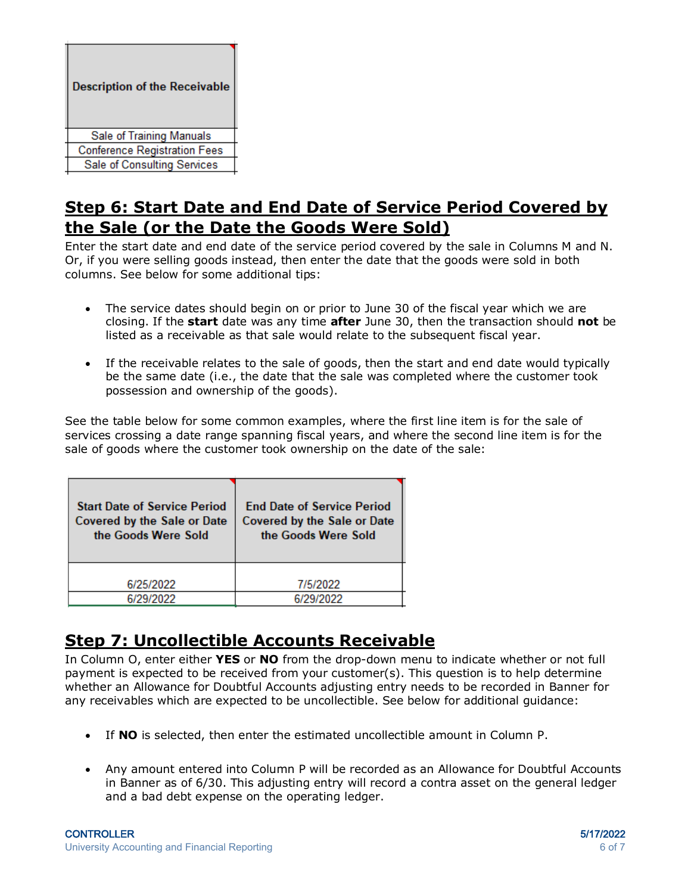| <b>Description of the Receivable</b> |  |
|--------------------------------------|--|
| Sale of Training Manuals             |  |
| <b>Conference Registration Fees</b>  |  |
| <b>Sale of Consulting Services</b>   |  |
|                                      |  |

#### **Step 6: Start Date and End Date of Service Period Covered by the Sale (or the Date the Goods Were Sold)**

Enter the start date and end date of the service period covered by the sale in Columns M and N. Or, if you were selling goods instead, then enter the date that the goods were sold in both columns. See below for some additional tips:

- The service dates should begin on or prior to June 30 of the fiscal year which we are closing. If the **start** date was any time **after** June 30, then the transaction should **not** be listed as a receivable as that sale would relate to the subsequent fiscal year.
- If the receivable relates to the sale of goods, then the start and end date would typically be the same date (i.e., the date that the sale was completed where the customer took possession and ownership of the goods).

See the table below for some common examples, where the first line item is for the sale of services crossing a date range spanning fiscal years, and where the second line item is for the sale of goods where the customer took ownership on the date of the sale:

| <b>Start Date of Service Period</b> | <b>End Date of Service Period</b> |  |
|-------------------------------------|-----------------------------------|--|
| Covered by the Sale or Date         | Covered by the Sale or Date       |  |
| the Goods Were Sold                 | the Goods Were Sold               |  |
| 6/25/2022                           | 7/5/2022                          |  |
| 6/29/2022                           | 6/29/2022                         |  |

## **Step 7: Uncollectible Accounts Receivable**

In Column O, enter either **YES** or **NO** from the drop-down menu to indicate whether or not full payment is expected to be received from your customer(s). This question is to help determine whether an Allowance for Doubtful Accounts adjusting entry needs to be recorded in Banner for any receivables which are expected to be uncollectible. See below for additional guidance:

- If **NO** is selected, then enter the estimated uncollectible amount in Column P.
- Any amount entered into Column P will be recorded as an Allowance for Doubtful Accounts in Banner as of 6/30. This adjusting entry will record a contra asset on the general ledger and a bad debt expense on the operating ledger.